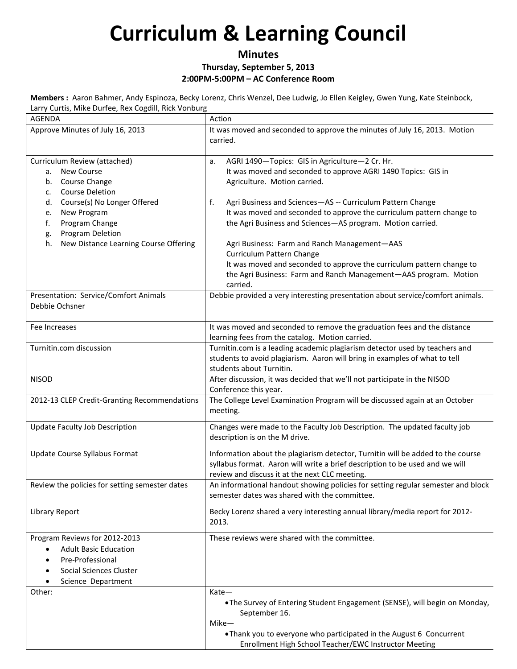#### **Minutes Thursday, September 5, 2013 2:00PM-5:00PM – AC Conference Room**

**Members :** Aaron Bahmer, Andy Espinoza, Becky Lorenz, Chris Wenzel, Dee Ludwig, Jo Ellen Keigley, Gwen Yung, Kate Steinbock, Larry Curtis, Mike Durfee, Rex Cogdill, Rick Vonburg

| Larry Cartis, ivince Darree, nex Coguili, nick voribarg<br>AGENDA              | Action                                                                                                                                                          |
|--------------------------------------------------------------------------------|-----------------------------------------------------------------------------------------------------------------------------------------------------------------|
| Approve Minutes of July 16, 2013                                               | It was moved and seconded to approve the minutes of July 16, 2013. Motion                                                                                       |
|                                                                                | carried.                                                                                                                                                        |
|                                                                                |                                                                                                                                                                 |
| Curriculum Review (attached)<br><b>New Course</b><br>а.<br>Course Change<br>b. | AGRI 1490-Topics: GIS in Agriculture-2 Cr. Hr.<br>a.<br>It was moved and seconded to approve AGRI 1490 Topics: GIS in<br>Agriculture. Motion carried.           |
| <b>Course Deletion</b><br>c.                                                   |                                                                                                                                                                 |
| Course(s) No Longer Offered<br>d.                                              | f.<br>Agri Business and Sciences-AS -- Curriculum Pattern Change                                                                                                |
| New Program<br>e.                                                              | It was moved and seconded to approve the curriculum pattern change to                                                                                           |
| Program Change<br>f.                                                           | the Agri Business and Sciences-AS program. Motion carried.                                                                                                      |
| Program Deletion<br>g.                                                         |                                                                                                                                                                 |
| New Distance Learning Course Offering<br>h.                                    | Agri Business: Farm and Ranch Management-AAS<br>Curriculum Pattern Change                                                                                       |
|                                                                                | It was moved and seconded to approve the curriculum pattern change to                                                                                           |
|                                                                                | the Agri Business: Farm and Ranch Management-AAS program. Motion                                                                                                |
|                                                                                | carried.                                                                                                                                                        |
| Presentation: Service/Comfort Animals<br>Debbie Ochsner                        | Debbie provided a very interesting presentation about service/comfort animals.                                                                                  |
| Fee Increases                                                                  | It was moved and seconded to remove the graduation fees and the distance                                                                                        |
|                                                                                | learning fees from the catalog. Motion carried.                                                                                                                 |
| Turnitin.com discussion                                                        | Turnitin.com is a leading academic plagiarism detector used by teachers and                                                                                     |
|                                                                                | students to avoid plagiarism. Aaron will bring in examples of what to tell                                                                                      |
|                                                                                | students about Turnitin.                                                                                                                                        |
| <b>NISOD</b>                                                                   | After discussion, it was decided that we'll not participate in the NISOD                                                                                        |
|                                                                                | Conference this year.                                                                                                                                           |
| 2012-13 CLEP Credit-Granting Recommendations                                   | The College Level Examination Program will be discussed again at an October                                                                                     |
|                                                                                | meeting.                                                                                                                                                        |
|                                                                                |                                                                                                                                                                 |
| <b>Update Faculty Job Description</b>                                          | Changes were made to the Faculty Job Description. The updated faculty job<br>description is on the M drive.                                                     |
| Update Course Syllabus Format                                                  | Information about the plagiarism detector, Turnitin will be added to the course<br>syllabus format. Aaron will write a brief description to be used and we will |
| Review the policies for setting semester dates                                 | review and discuss it at the next CLC meeting.                                                                                                                  |
|                                                                                | An informational handout showing policies for setting regular semester and block<br>semester dates was shared with the committee.                               |
| Library Report                                                                 | Becky Lorenz shared a very interesting annual library/media report for 2012-<br>2013.                                                                           |
| Program Reviews for 2012-2013                                                  | These reviews were shared with the committee.                                                                                                                   |
| <b>Adult Basic Education</b><br>٠                                              |                                                                                                                                                                 |
| Pre-Professional<br>٠                                                          |                                                                                                                                                                 |
| <b>Social Sciences Cluster</b>                                                 |                                                                                                                                                                 |
| Science Department                                                             |                                                                                                                                                                 |
| Other:                                                                         | Kate-                                                                                                                                                           |
|                                                                                | . The Survey of Entering Student Engagement (SENSE), will begin on Monday,                                                                                      |
|                                                                                | September 16.                                                                                                                                                   |
|                                                                                | Mike-                                                                                                                                                           |
|                                                                                | . Thank you to everyone who participated in the August 6 Concurrent                                                                                             |
|                                                                                | Enrollment High School Teacher/EWC Instructor Meeting                                                                                                           |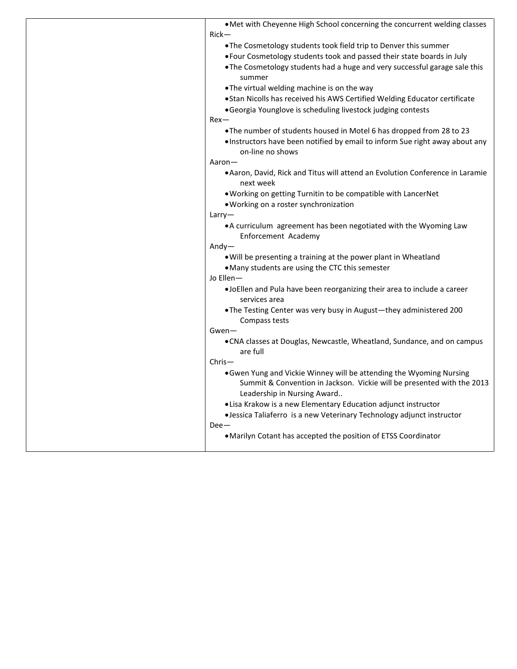| . Met with Cheyenne High School concerning the concurrent welding classes<br>Rick-         |
|--------------------------------------------------------------------------------------------|
| . The Cosmetology students took field trip to Denver this summer                           |
| . Four Cosmetology students took and passed their state boards in July                     |
| . The Cosmetology students had a huge and very successful garage sale this                 |
| summer                                                                                     |
| . The virtual welding machine is on the way                                                |
| . Stan Nicolls has received his AWS Certified Welding Educator certificate                 |
| • Georgia Younglove is scheduling livestock judging contests                               |
| $Rex$ —                                                                                    |
| . The number of students housed in Motel 6 has dropped from 28 to 23                       |
| . Instructors have been notified by email to inform Sue right away about any               |
| on-line no shows                                                                           |
| Aaron-                                                                                     |
|                                                                                            |
| • Aaron, David, Rick and Titus will attend an Evolution Conference in Laramie<br>next week |
| . Working on getting Turnitin to be compatible with LancerNet                              |
| . Working on a roster synchronization                                                      |
| Larry-                                                                                     |
| • A curriculum agreement has been negotiated with the Wyoming Law                          |
| Enforcement Academy                                                                        |
| $Andy-$                                                                                    |
| . Will be presenting a training at the power plant in Wheatland                            |
| • Many students are using the CTC this semester                                            |
| Jo Ellen-                                                                                  |
| .JoEllen and Pula have been reorganizing their area to include a career                    |
| services area                                                                              |
|                                                                                            |
| . The Testing Center was very busy in August-they administered 200                         |
| Compass tests                                                                              |
| $Gwen-$                                                                                    |
| •CNA classes at Douglas, Newcastle, Wheatland, Sundance, and on campus<br>are full         |
| Chris-                                                                                     |
|                                                                                            |
| . Gwen Yung and Vickie Winney will be attending the Wyoming Nursing                        |
| Summit & Convention in Jackson. Vickie will be presented with the 2013                     |
| Leadership in Nursing Award                                                                |
| . Lisa Krakow is a new Elementary Education adjunct instructor                             |
| · Jessica Taliaferro is a new Veterinary Technology adjunct instructor                     |
| $Dee-$                                                                                     |
| • Marilyn Cotant has accepted the position of ETSS Coordinator                             |
|                                                                                            |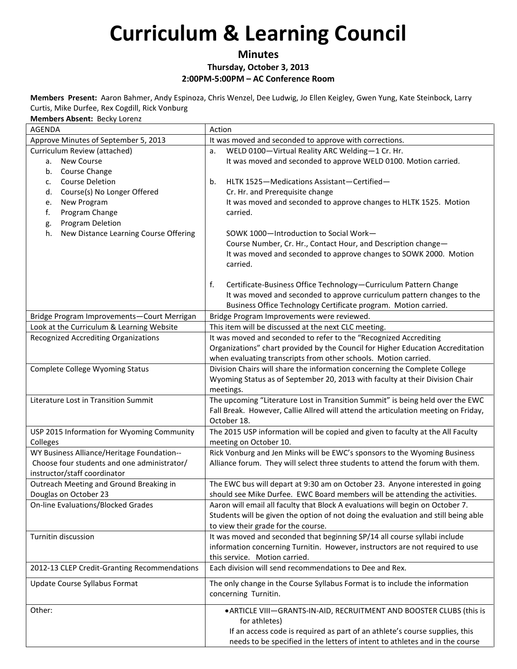### **Minutes Thursday, October 3, 2013 2:00PM-5:00PM – AC Conference Room**

**Members Present:** Aaron Bahmer, Andy Espinoza, Chris Wenzel, Dee Ludwig, Jo Ellen Keigley, Gwen Yung, Kate Steinbock, Larry Curtis, Mike Durfee, Rex Cogdill, Rick Vonburg

**Members Absent:** Becky Lorenz

| <b>AGENDA</b>                                                                            | Action                                                                                                                    |
|------------------------------------------------------------------------------------------|---------------------------------------------------------------------------------------------------------------------------|
| Approve Minutes of September 5, 2013                                                     | It was moved and seconded to approve with corrections.                                                                    |
| Curriculum Review (attached)                                                             | WELD 0100-Virtual Reality ARC Welding-1 Cr. Hr.<br>a.                                                                     |
| <b>New Course</b><br>а.                                                                  | It was moved and seconded to approve WELD 0100. Motion carried.                                                           |
| Course Change<br>b.                                                                      |                                                                                                                           |
| <b>Course Deletion</b><br>c.                                                             | HLTK 1525-Medications Assistant-Certified-<br>b.                                                                          |
| Course(s) No Longer Offered<br>d.                                                        | Cr. Hr. and Prerequisite change                                                                                           |
| New Program<br>e.                                                                        | It was moved and seconded to approve changes to HLTK 1525. Motion                                                         |
| f.<br>Program Change                                                                     | carried.                                                                                                                  |
| Program Deletion<br>g.                                                                   |                                                                                                                           |
| h.<br>New Distance Learning Course Offering                                              | SOWK 1000-Introduction to Social Work-                                                                                    |
|                                                                                          | Course Number, Cr. Hr., Contact Hour, and Description change-                                                             |
|                                                                                          | It was moved and seconded to approve changes to SOWK 2000. Motion                                                         |
|                                                                                          | carried.                                                                                                                  |
|                                                                                          |                                                                                                                           |
|                                                                                          | f.<br>Certificate-Business Office Technology-Curriculum Pattern Change                                                    |
|                                                                                          | It was moved and seconded to approve curriculum pattern changes to the                                                    |
|                                                                                          | Business Office Technology Certificate program. Motion carried.                                                           |
| Bridge Program Improvements-Court Merrigan                                               | Bridge Program Improvements were reviewed.                                                                                |
| Look at the Curriculum & Learning Website<br><b>Recognized Accrediting Organizations</b> | This item will be discussed at the next CLC meeting.<br>It was moved and seconded to refer to the "Recognized Accrediting |
|                                                                                          | Organizations" chart provided by the Council for Higher Education Accreditation                                           |
|                                                                                          | when evaluating transcripts from other schools. Motion carried.                                                           |
| Complete College Wyoming Status                                                          | Division Chairs will share the information concerning the Complete College                                                |
|                                                                                          | Wyoming Status as of September 20, 2013 with faculty at their Division Chair                                              |
|                                                                                          |                                                                                                                           |
| Literature Lost in Transition Summit                                                     | meetings.<br>The upcoming "Literature Lost in Transition Summit" is being held over the EWC                               |
|                                                                                          | Fall Break. However, Callie Allred will attend the articulation meeting on Friday,                                        |
|                                                                                          | October 18.                                                                                                               |
| USP 2015 Information for Wyoming Community                                               | The 2015 USP information will be copied and given to faculty at the All Faculty                                           |
| Colleges                                                                                 | meeting on October 10.                                                                                                    |
| WY Business Alliance/Heritage Foundation--                                               | Rick Vonburg and Jen Minks will be EWC's sponsors to the Wyoming Business                                                 |
| Choose four students and one administrator/                                              | Alliance forum. They will select three students to attend the forum with them.                                            |
| instructor/staff coordinator                                                             |                                                                                                                           |
| Outreach Meeting and Ground Breaking in                                                  | The EWC bus will depart at 9:30 am on October 23. Anyone interested in going                                              |
| Douglas on October 23                                                                    | should see Mike Durfee. EWC Board members will be attending the activities.                                               |
| <b>On-line Evaluations/Blocked Grades</b>                                                | Aaron will email all faculty that Block A evaluations will begin on October 7.                                            |
|                                                                                          | Students will be given the option of not doing the evaluation and still being able                                        |
|                                                                                          | to view their grade for the course.                                                                                       |
| Turnitin discussion                                                                      | It was moved and seconded that beginning SP/14 all course syllabi include                                                 |
|                                                                                          | information concerning Turnitin. However, instructors are not required to use                                             |
|                                                                                          | this service. Motion carried.                                                                                             |
| 2012-13 CLEP Credit-Granting Recommendations                                             | Each division will send recommendations to Dee and Rex.                                                                   |
| Update Course Syllabus Format                                                            | The only change in the Course Syllabus Format is to include the information                                               |
|                                                                                          | concerning Turnitin.                                                                                                      |
| Other:                                                                                   | • ARTICLE VIII-GRANTS-IN-AID, RECRUITMENT AND BOOSTER CLUBS (this is                                                      |
|                                                                                          | for athletes)                                                                                                             |
|                                                                                          | If an access code is required as part of an athlete's course supplies, this                                               |
|                                                                                          | needs to be specified in the letters of intent to athletes and in the course                                              |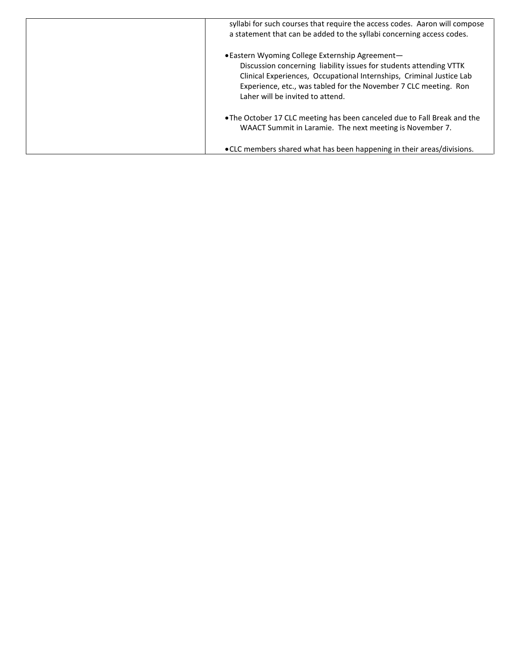| syllabi for such courses that require the access codes. Aaron will compose<br>a statement that can be added to the syllabi concerning access codes.                                                                                                                                                   |
|-------------------------------------------------------------------------------------------------------------------------------------------------------------------------------------------------------------------------------------------------------------------------------------------------------|
| • Eastern Wyoming College Externship Agreement-<br>Discussion concerning liability issues for students attending VTTK<br>Clinical Experiences, Occupational Internships, Criminal Justice Lab<br>Experience, etc., was tabled for the November 7 CLC meeting. Ron<br>Laher will be invited to attend. |
| • The October 17 CLC meeting has been canceled due to Fall Break and the<br>WAACT Summit in Laramie. The next meeting is November 7.                                                                                                                                                                  |
| • CLC members shared what has been happening in their areas/divisions.                                                                                                                                                                                                                                |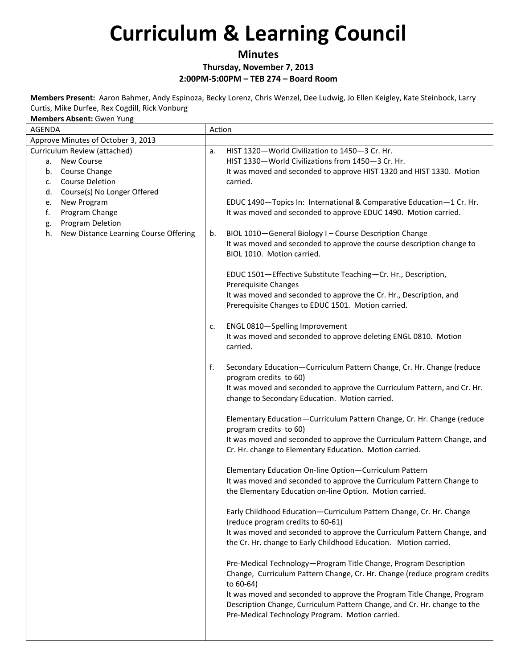### **Minutes**

#### **Thursday, November 7, 2013 2:00PM-5:00PM – TEB 274 – Board Room**

**Members Present:** Aaron Bahmer, Andy Espinoza, Becky Lorenz, Chris Wenzel, Dee Ludwig, Jo Ellen Keigley, Kate Steinbock, Larry Curtis, Mike Durfee, Rex Cogdill, Rick Vonburg

**Members Absent:** Gwen Yung

| <b>AGENDA</b>                                                                                                                          | Action |                                                                                                                                                                                                                                      |
|----------------------------------------------------------------------------------------------------------------------------------------|--------|--------------------------------------------------------------------------------------------------------------------------------------------------------------------------------------------------------------------------------------|
| Approve Minutes of October 3, 2013                                                                                                     |        |                                                                                                                                                                                                                                      |
| Curriculum Review (attached)<br>a. New Course<br>b. Course Change<br><b>Course Deletion</b><br>c.<br>Course(s) No Longer Offered<br>d. | a.     | HIST 1320-World Civilization to 1450-3 Cr. Hr.<br>HIST 1330-World Civilizations from 1450-3 Cr. Hr.<br>It was moved and seconded to approve HIST 1320 and HIST 1330. Motion<br>carried.                                              |
| New Program<br>e.<br>f.<br>Program Change<br>Program Deletion<br>g.                                                                    |        | EDUC 1490-Topics In: International & Comparative Education-1 Cr. Hr.<br>It was moved and seconded to approve EDUC 1490. Motion carried.                                                                                              |
| New Distance Learning Course Offering<br>h.                                                                                            | b.     | BIOL 1010-General Biology I - Course Description Change<br>It was moved and seconded to approve the course description change to<br>BIOL 1010. Motion carried.                                                                       |
|                                                                                                                                        |        | EDUC 1501-Effective Substitute Teaching-Cr. Hr., Description,<br><b>Prerequisite Changes</b><br>It was moved and seconded to approve the Cr. Hr., Description, and                                                                   |
|                                                                                                                                        |        | Prerequisite Changes to EDUC 1501. Motion carried.                                                                                                                                                                                   |
|                                                                                                                                        | c.     | ENGL 0810-Spelling Improvement<br>It was moved and seconded to approve deleting ENGL 0810. Motion<br>carried.                                                                                                                        |
|                                                                                                                                        | f.     | Secondary Education-Curriculum Pattern Change, Cr. Hr. Change (reduce<br>program credits to 60)<br>It was moved and seconded to approve the Curriculum Pattern, and Cr. Hr.<br>change to Secondary Education. Motion carried.        |
|                                                                                                                                        |        | Elementary Education-Curriculum Pattern Change, Cr. Hr. Change (reduce<br>program credits to 60)                                                                                                                                     |
|                                                                                                                                        |        | It was moved and seconded to approve the Curriculum Pattern Change, and<br>Cr. Hr. change to Elementary Education. Motion carried.                                                                                                   |
|                                                                                                                                        |        | Elementary Education On-line Option-Curriculum Pattern<br>It was moved and seconded to approve the Curriculum Pattern Change to<br>the Elementary Education on-line Option. Motion carried.                                          |
|                                                                                                                                        |        | Early Childhood Education-Curriculum Pattern Change, Cr. Hr. Change<br>(reduce program credits to 60-61)<br>It was moved and seconded to approve the Curriculum Pattern Change, and                                                  |
|                                                                                                                                        |        | the Cr. Hr. change to Early Childhood Education. Motion carried.                                                                                                                                                                     |
|                                                                                                                                        |        | Pre-Medical Technology-Program Title Change, Program Description<br>Change, Curriculum Pattern Change, Cr. Hr. Change (reduce program credits<br>to 60-64)<br>It was moved and seconded to approve the Program Title Change, Program |
|                                                                                                                                        |        | Description Change, Curriculum Pattern Change, and Cr. Hr. change to the<br>Pre-Medical Technology Program. Motion carried.                                                                                                          |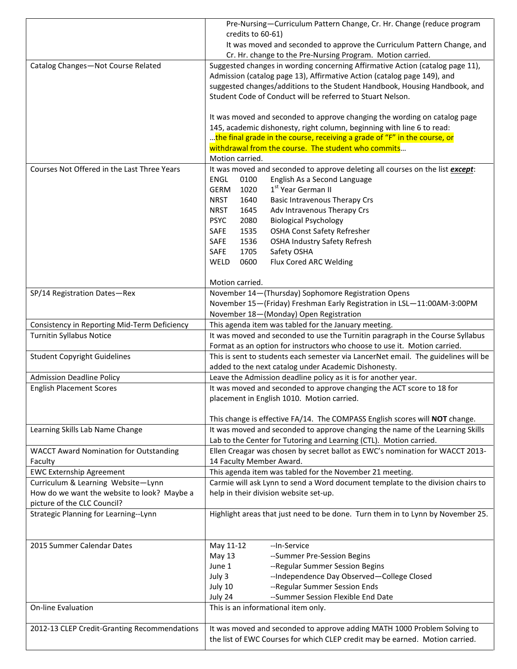|                                               | Pre-Nursing-Curriculum Pattern Change, Cr. Hr. Change (reduce program                                                                                 |  |  |
|-----------------------------------------------|-------------------------------------------------------------------------------------------------------------------------------------------------------|--|--|
|                                               | credits to 60-61)                                                                                                                                     |  |  |
|                                               | It was moved and seconded to approve the Curriculum Pattern Change, and                                                                               |  |  |
|                                               | Cr. Hr. change to the Pre-Nursing Program. Motion carried.                                                                                            |  |  |
| Catalog Changes-Not Course Related            | Suggested changes in wording concerning Affirmative Action (catalog page 11),                                                                         |  |  |
|                                               | Admission (catalog page 13), Affirmative Action (catalog page 149), and<br>suggested changes/additions to the Student Handbook, Housing Handbook, and |  |  |
|                                               | Student Code of Conduct will be referred to Stuart Nelson.                                                                                            |  |  |
|                                               |                                                                                                                                                       |  |  |
|                                               | It was moved and seconded to approve changing the wording on catalog page                                                                             |  |  |
|                                               | 145, academic dishonesty, right column, beginning with line 6 to read:                                                                                |  |  |
|                                               | the final grade in the course, receiving a grade of "F" in the course, or                                                                             |  |  |
|                                               | withdrawal from the course. The student who commits                                                                                                   |  |  |
|                                               | Motion carried.                                                                                                                                       |  |  |
| Courses Not Offered in the Last Three Years   | It was moved and seconded to approve deleting all courses on the list except:                                                                         |  |  |
|                                               | English As a Second Language<br>ENGL<br>0100                                                                                                          |  |  |
|                                               | 1 <sup>st</sup> Year German II<br>1020<br><b>GERM</b>                                                                                                 |  |  |
|                                               | <b>Basic Intravenous Therapy Crs</b><br><b>NRST</b><br>1640                                                                                           |  |  |
|                                               | Adv Intravenous Therapy Crs<br><b>NRST</b><br>1645                                                                                                    |  |  |
|                                               | <b>PSYC</b><br>2080<br><b>Biological Psychology</b>                                                                                                   |  |  |
|                                               | SAFE<br>1535<br><b>OSHA Const Safety Refresher</b>                                                                                                    |  |  |
|                                               | SAFE<br>1536<br><b>OSHA Industry Safety Refresh</b>                                                                                                   |  |  |
|                                               | SAFE<br>1705<br>Safety OSHA                                                                                                                           |  |  |
|                                               | WELD<br>0600<br>Flux Cored ARC Welding                                                                                                                |  |  |
|                                               |                                                                                                                                                       |  |  |
|                                               | Motion carried.                                                                                                                                       |  |  |
| SP/14 Registration Dates-Rex                  | November 14-(Thursday) Sophomore Registration Opens                                                                                                   |  |  |
|                                               | November 15-(Friday) Freshman Early Registration in LSL-11:00AM-3:00PM                                                                                |  |  |
|                                               | November 18-(Monday) Open Registration                                                                                                                |  |  |
| Consistency in Reporting Mid-Term Deficiency  | This agenda item was tabled for the January meeting.<br>It was moved and seconded to use the Turnitin paragraph in the Course Syllabus                |  |  |
| <b>Turnitin Syllabus Notice</b>               | Format as an option for instructors who choose to use it. Motion carried.                                                                             |  |  |
| <b>Student Copyright Guidelines</b>           | This is sent to students each semester via LancerNet email. The guidelines will be                                                                    |  |  |
|                                               | added to the next catalog under Academic Dishonesty.                                                                                                  |  |  |
| <b>Admission Deadline Policy</b>              | Leave the Admission deadline policy as it is for another year.                                                                                        |  |  |
| <b>English Placement Scores</b>               | It was moved and seconded to approve changing the ACT score to 18 for                                                                                 |  |  |
|                                               | placement in English 1010. Motion carried.                                                                                                            |  |  |
|                                               |                                                                                                                                                       |  |  |
|                                               | This change is effective FA/14. The COMPASS English scores will NOT change.                                                                           |  |  |
| Learning Skills Lab Name Change               | It was moved and seconded to approve changing the name of the Learning Skills                                                                         |  |  |
|                                               | Lab to the Center for Tutoring and Learning (CTL). Motion carried.                                                                                    |  |  |
| <b>WACCT Award Nomination for Outstanding</b> | Ellen Creagar was chosen by secret ballot as EWC's nomination for WACCT 2013-                                                                         |  |  |
| Faculty                                       | 14 Faculty Member Award.                                                                                                                              |  |  |
| <b>EWC Externship Agreement</b>               | This agenda item was tabled for the November 21 meeting.                                                                                              |  |  |
| Curriculum & Learning Website-Lynn            | Carmie will ask Lynn to send a Word document template to the division chairs to                                                                       |  |  |
| How do we want the website to look? Maybe a   | help in their division website set-up.                                                                                                                |  |  |
| picture of the CLC Council?                   |                                                                                                                                                       |  |  |
| Strategic Planning for Learning--Lynn         | Highlight areas that just need to be done. Turn them in to Lynn by November 25.                                                                       |  |  |
|                                               |                                                                                                                                                       |  |  |
|                                               |                                                                                                                                                       |  |  |
| 2015 Summer Calendar Dates                    | --In-Service<br>May 11-12                                                                                                                             |  |  |
|                                               | May 13<br>--Summer Pre-Session Begins                                                                                                                 |  |  |
|                                               | June 1<br>--Regular Summer Session Begins                                                                                                             |  |  |
|                                               | --Independence Day Observed-College Closed<br>July 3                                                                                                  |  |  |
|                                               | --Regular Summer Session Ends<br>July 10<br>July 24<br>--Summer Session Flexible End Date                                                             |  |  |
| On-line Evaluation                            | This is an informational item only.                                                                                                                   |  |  |
|                                               |                                                                                                                                                       |  |  |
| 2012-13 CLEP Credit-Granting Recommendations  | It was moved and seconded to approve adding MATH 1000 Problem Solving to                                                                              |  |  |
|                                               | the list of EWC Courses for which CLEP credit may be earned. Motion carried.                                                                          |  |  |
|                                               |                                                                                                                                                       |  |  |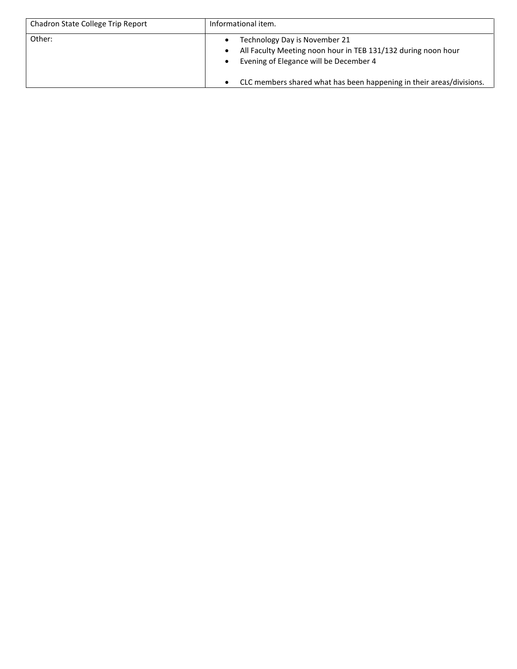| Chadron State College Trip Report | Informational item.                                                                                                                      |  |
|-----------------------------------|------------------------------------------------------------------------------------------------------------------------------------------|--|
| Other:                            | Technology Day is November 21<br>All Faculty Meeting noon hour in TEB 131/132 during noon hour<br>Evening of Elegance will be December 4 |  |
|                                   | CLC members shared what has been happening in their areas/divisions.                                                                     |  |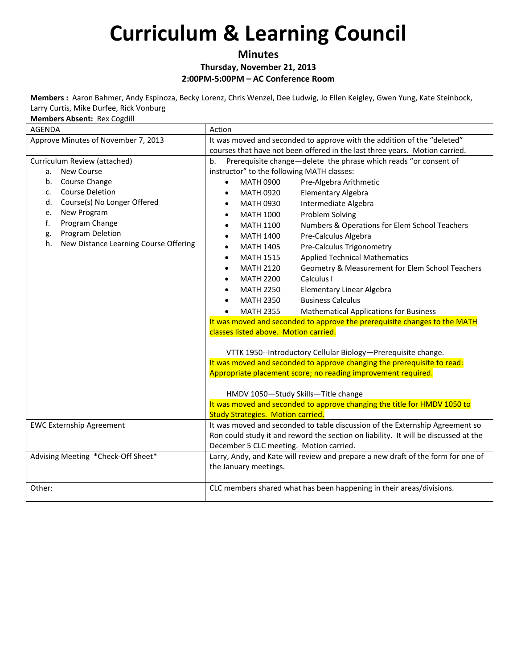#### **Minutes Thursday, November 21, 2013 2:00PM-5:00PM – AC Conference Room**

**Members :** Aaron Bahmer, Andy Espinoza, Becky Lorenz, Chris Wenzel, Dee Ludwig, Jo Ellen Keigley, Gwen Yung, Kate Steinbock, Larry Curtis, Mike Durfee, Rick Vonburg

**Members Absent:** Rex Cogdill

| <b>AGENDA</b>                               | Action                                                                              |  |  |  |
|---------------------------------------------|-------------------------------------------------------------------------------------|--|--|--|
| Approve Minutes of November 7, 2013         | It was moved and seconded to approve with the addition of the "deleted"             |  |  |  |
|                                             | courses that have not been offered in the last three years. Motion carried.         |  |  |  |
| Curriculum Review (attached)                | Prerequisite change-delete the phrase which reads "or consent of<br>b.              |  |  |  |
| a. New Course                               | instructor" to the following MATH classes:                                          |  |  |  |
| Course Change<br>b.                         | <b>MATH 0900</b><br>Pre-Algebra Arithmetic<br>$\bullet$                             |  |  |  |
| <b>Course Deletion</b><br>c.                | Elementary Algebra<br><b>MATH 0920</b><br>$\bullet$                                 |  |  |  |
| Course(s) No Longer Offered<br>d.           | Intermediate Algebra<br><b>MATH 0930</b><br>$\bullet$                               |  |  |  |
| New Program<br>e.                           | <b>Problem Solving</b><br><b>MATH 1000</b><br>$\bullet$                             |  |  |  |
| f.<br>Program Change                        | Numbers & Operations for Elem School Teachers<br><b>MATH 1100</b><br>$\bullet$      |  |  |  |
| Program Deletion<br>g.                      | Pre-Calculus Algebra<br><b>MATH 1400</b><br>$\bullet$                               |  |  |  |
| New Distance Learning Course Offering<br>h. | Pre-Calculus Trigonometry<br><b>MATH 1405</b><br>$\bullet$                          |  |  |  |
|                                             | <b>Applied Technical Mathematics</b><br><b>MATH 1515</b><br>$\bullet$               |  |  |  |
|                                             | Geometry & Measurement for Elem School Teachers<br><b>MATH 2120</b>                 |  |  |  |
|                                             | Calculus I<br><b>MATH 2200</b>                                                      |  |  |  |
|                                             | <b>MATH 2250</b><br><b>Elementary Linear Algebra</b>                                |  |  |  |
|                                             | <b>Business Calculus</b><br><b>MATH 2350</b>                                        |  |  |  |
|                                             | <b>MATH 2355</b><br><b>Mathematical Applications for Business</b>                   |  |  |  |
|                                             | It was moved and seconded to approve the prerequisite changes to the MATH           |  |  |  |
|                                             | classes listed above. Motion carried.                                               |  |  |  |
|                                             | VTTK 1950--Introductory Cellular Biology-Prerequisite change.                       |  |  |  |
|                                             | It was moved and seconded to approve changing the prerequisite to read:             |  |  |  |
|                                             | Appropriate placement score; no reading improvement required.                       |  |  |  |
|                                             | HMDV 1050-Study Skills-Title change                                                 |  |  |  |
|                                             | It was moved and seconded to approve changing the title for HMDV 1050 to            |  |  |  |
|                                             | <b>Study Strategies. Motion carried.</b>                                            |  |  |  |
| <b>EWC Externship Agreement</b>             | It was moved and seconded to table discussion of the Externship Agreement so        |  |  |  |
|                                             | Ron could study it and reword the section on liability. It will be discussed at the |  |  |  |
|                                             | December 5 CLC meeting. Motion carried.                                             |  |  |  |
| Advising Meeting *Check-Off Sheet*          | Larry, Andy, and Kate will review and prepare a new draft of the form for one of    |  |  |  |
|                                             | the January meetings.                                                               |  |  |  |
| Other:                                      | CLC members shared what has been happening in their areas/divisions.                |  |  |  |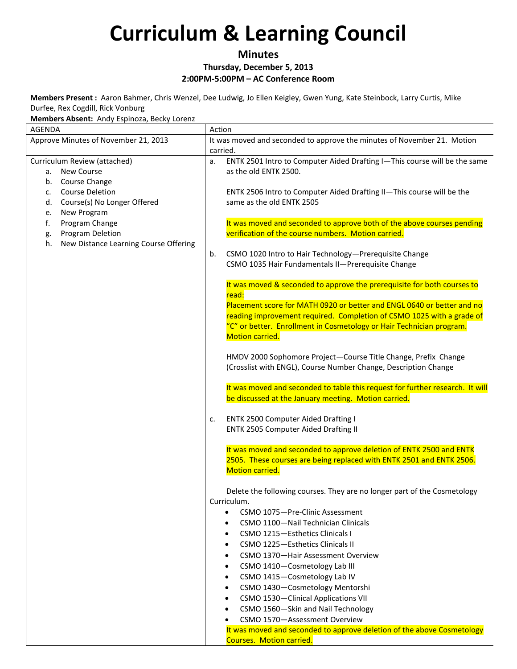#### **Minutes Thursday, December 5, 2013 2:00PM-5:00PM – AC Conference Room**

**Members Present :** Aaron Bahmer, Chris Wenzel, Dee Ludwig, Jo Ellen Keigley, Gwen Yung, Kate Steinbock, Larry Curtis, Mike Durfee, Rex Cogdill, Rick Vonburg

**Members Absent:** Andy Espinoza, Becky Lorenz

| AGENDA                                      | Action                                                                           |  |
|---------------------------------------------|----------------------------------------------------------------------------------|--|
| Approve Minutes of November 21, 2013        | It was moved and seconded to approve the minutes of November 21. Motion          |  |
|                                             | carried.                                                                         |  |
| Curriculum Review (attached)                | ENTK 2501 Intro to Computer Aided Drafting I-This course will be the same<br>a.  |  |
| New Course<br>а.                            | as the old ENTK 2500.                                                            |  |
| Course Change<br>b.                         |                                                                                  |  |
| <b>Course Deletion</b><br>$C_{\star}$       | ENTK 2506 Intro to Computer Aided Drafting II-This course will be the            |  |
| Course(s) No Longer Offered<br>d.           | same as the old ENTK 2505                                                        |  |
| New Program<br>e.                           |                                                                                  |  |
| Program Change<br>f.                        | It was moved and seconded to approve both of the above courses pending           |  |
| Program Deletion<br>g.                      | verification of the course numbers. Motion carried.                              |  |
| New Distance Learning Course Offering<br>h. |                                                                                  |  |
|                                             | CSMO 1020 Intro to Hair Technology-Prerequisite Change<br>b.                     |  |
|                                             | CSMO 1035 Hair Fundamentals II-Prerequisite Change                               |  |
|                                             |                                                                                  |  |
|                                             | It was moved & seconded to approve the prerequisite for both courses to<br>read: |  |
|                                             | Placement score for MATH 0920 or better and ENGL 0640 or better and no           |  |
|                                             | reading improvement required. Completion of CSMO 1025 with a grade of            |  |
|                                             | "C" or better. Enrollment in Cosmetology or Hair Technician program.             |  |
|                                             | Motion carried.                                                                  |  |
|                                             |                                                                                  |  |
|                                             | HMDV 2000 Sophomore Project-Course Title Change, Prefix Change                   |  |
|                                             | (Crosslist with ENGL), Course Number Change, Description Change                  |  |
|                                             |                                                                                  |  |
|                                             | It was moved and seconded to table this request for further research. It will    |  |
|                                             | be discussed at the January meeting. Motion carried.                             |  |
|                                             | ENTK 2500 Computer Aided Drafting I<br>c.                                        |  |
|                                             | ENTK 2505 Computer Aided Drafting II                                             |  |
|                                             |                                                                                  |  |
|                                             | It was moved and seconded to approve deletion of ENTK 2500 and ENTK              |  |
|                                             | 2505. These courses are being replaced with ENTK 2501 and ENTK 2506.             |  |
|                                             | Motion carried.                                                                  |  |
|                                             |                                                                                  |  |
|                                             | Delete the following courses. They are no longer part of the Cosmetology         |  |
|                                             | Curriculum.                                                                      |  |
|                                             | CSMO 1075-Pre-Clinic Assessment<br>$\bullet$                                     |  |
|                                             | CSMO 1100-Nail Technician Clinicals                                              |  |
|                                             | CSMO 1215-Esthetics Clinicals I                                                  |  |
|                                             | CSMO 1225-Esthetics Clinicals II                                                 |  |
|                                             | CSMO 1370-Hair Assessment Overview                                               |  |
|                                             | CSMO 1410-Cosmetology Lab III                                                    |  |
|                                             | CSMO 1415-Cosmetology Lab IV                                                     |  |
|                                             | CSMO 1430-Cosmetology Mentorshi                                                  |  |
|                                             | CSMO 1530-Clinical Applications VII                                              |  |
|                                             | CSMO 1560-Skin and Nail Technology                                               |  |
|                                             | CSMO 1570-Assessment Overview                                                    |  |
|                                             | It was moved and seconded to approve deletion of the above Cosmetology           |  |
|                                             | <b>Courses. Motion carried.</b>                                                  |  |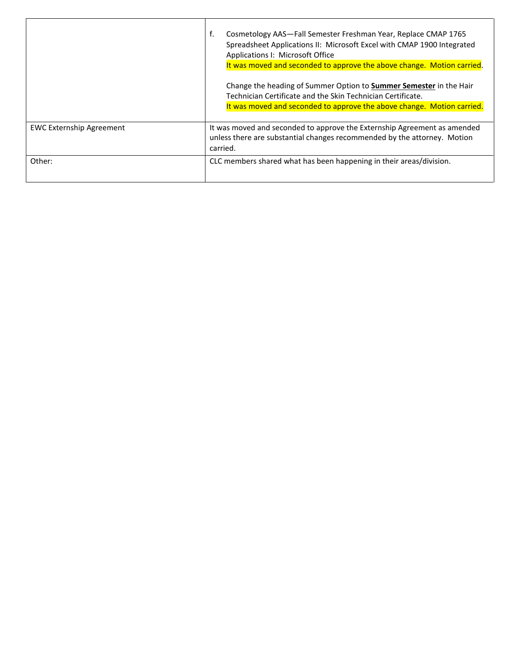|                                 | Cosmetology AAS-Fall Semester Freshman Year, Replace CMAP 1765<br>f.<br>Spreadsheet Applications II: Microsoft Excel with CMAP 1900 Integrated<br>Applications I: Microsoft Office<br>It was moved and seconded to approve the above change. Motion carried.<br>Change the heading of Summer Option to <b>Summer Semester</b> in the Hair<br>Technician Certificate and the Skin Technician Certificate.<br>It was moved and seconded to approve the above change. Motion carried. |
|---------------------------------|------------------------------------------------------------------------------------------------------------------------------------------------------------------------------------------------------------------------------------------------------------------------------------------------------------------------------------------------------------------------------------------------------------------------------------------------------------------------------------|
| <b>EWC Externship Agreement</b> | It was moved and seconded to approve the Externship Agreement as amended<br>unless there are substantial changes recommended by the attorney. Motion<br>carried.                                                                                                                                                                                                                                                                                                                   |
| Other:                          | CLC members shared what has been happening in their areas/division.                                                                                                                                                                                                                                                                                                                                                                                                                |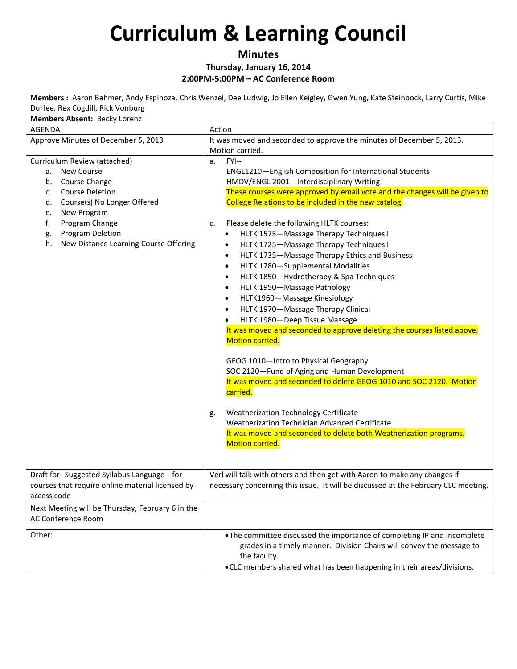#### **Minutes Thursday, January 16, 2014 2:00PM-5:00PM – AC Conference Room**

**Members :** Aaron Bahmer, Andy Espinoza, Chris Wenzel, Dee Ludwig, Jo Ellen Keigley, Gwen Yung, Kate Steinbock, Larry Curtis, Mike Durfee, Rex Cogdill, Rick Vonburg

#### **Members Absent:** Becky Lorenz

| <b>AGENDA</b>                                                                                                                                                                                                                                                | Action                                                                                                                                                                                                                                                                                                                                                                                                                                                                                                                                                                                                                                                                                                                                                                                                                                                                                                                                                                                                                                                                                                                                                                                  |  |
|--------------------------------------------------------------------------------------------------------------------------------------------------------------------------------------------------------------------------------------------------------------|-----------------------------------------------------------------------------------------------------------------------------------------------------------------------------------------------------------------------------------------------------------------------------------------------------------------------------------------------------------------------------------------------------------------------------------------------------------------------------------------------------------------------------------------------------------------------------------------------------------------------------------------------------------------------------------------------------------------------------------------------------------------------------------------------------------------------------------------------------------------------------------------------------------------------------------------------------------------------------------------------------------------------------------------------------------------------------------------------------------------------------------------------------------------------------------------|--|
| Approve Minutes of December 5, 2013                                                                                                                                                                                                                          | It was moved and seconded to approve the minutes of December 5, 2013.                                                                                                                                                                                                                                                                                                                                                                                                                                                                                                                                                                                                                                                                                                                                                                                                                                                                                                                                                                                                                                                                                                                   |  |
|                                                                                                                                                                                                                                                              | Motion carried.                                                                                                                                                                                                                                                                                                                                                                                                                                                                                                                                                                                                                                                                                                                                                                                                                                                                                                                                                                                                                                                                                                                                                                         |  |
| Curriculum Review (attached)<br>a. New Course<br>b. Course Change<br><b>Course Deletion</b><br>c.<br>Course(s) No Longer Offered<br>d.<br>New Program<br>e.<br>f.<br>Program Change<br>Program Deletion<br>g.<br>h.<br>New Distance Learning Course Offering | FYI--<br>a.<br>ENGL1210-English Composition for International Students<br>HMDV/ENGL 2001-Interdisciplinary Writing<br>These courses were approved by email vote and the changes will be given to<br>College Relations to be included in the new catalog.<br>Please delete the following HLTK courses:<br>c.<br>HLTK 1575-Massage Therapy Techniques I<br>٠<br>HLTK 1725-Massage Therapy Techniques II<br>٠<br>HLTK 1735-Massage Therapy Ethics and Business<br>٠<br>HLTK 1780-Supplemental Modalities<br>$\bullet$<br>HLTK 1850-Hydrotherapy & Spa Techniques<br>$\bullet$<br>HLTK 1950-Massage Pathology<br>٠<br>HLTK1960-Massage Kinesiology<br>HLTK 1970-Massage Therapy Clinical<br>HLTK 1980-Deep Tissue Massage<br>It was moved and seconded to approve deleting the courses listed above.<br>Motion carried.<br>GEOG 1010-Intro to Physical Geography<br>SOC 2120-Fund of Aging and Human Development<br>It was moved and seconded to delete GEOG 1010 and SOC 2120. Motion<br>carried.<br>Weatherization Technology Certificate<br>g.<br>Weatherization Technician Advanced Certificate<br>It was moved and seconded to delete both Weatherization programs.<br>Motion carried. |  |
| Draft for--Suggested Syllabus Language-for<br>courses that require online material licensed by<br>access code                                                                                                                                                | Verl will talk with others and then get with Aaron to make any changes if<br>necessary concerning this issue. It will be discussed at the February CLC meeting.                                                                                                                                                                                                                                                                                                                                                                                                                                                                                                                                                                                                                                                                                                                                                                                                                                                                                                                                                                                                                         |  |
| Next Meeting will be Thursday, February 6 in the<br>AC Conference Room                                                                                                                                                                                       |                                                                                                                                                                                                                                                                                                                                                                                                                                                                                                                                                                                                                                                                                                                                                                                                                                                                                                                                                                                                                                                                                                                                                                                         |  |
| Other:                                                                                                                                                                                                                                                       | . The committee discussed the importance of completing IP and Incomplete<br>grades in a timely manner. Division Chairs will convey the message to<br>the faculty.<br>.CLC members shared what has been happening in their areas/divisions.                                                                                                                                                                                                                                                                                                                                                                                                                                                                                                                                                                                                                                                                                                                                                                                                                                                                                                                                              |  |